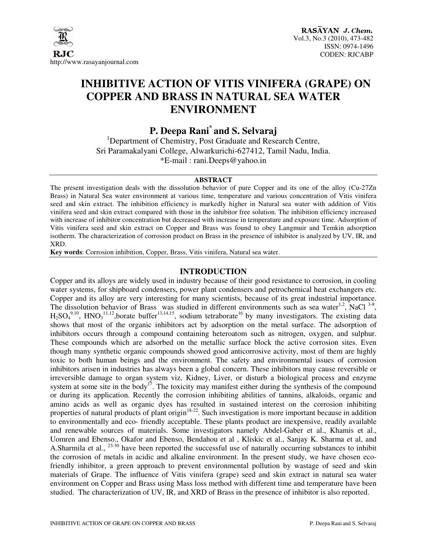

# **INHIBITIVE ACTION OF VITIS VINIFERA (GRAPE) ON COPPER AND BRASS IN NATURAL SEA WATER ENVIRONMENT**

**P. Deepa Rani\* and S. Selvaraj** 

<sup>1</sup>Department of Chemistry, Post Graduate and Research Centre, Sri Paramakalyani College, Alwarkurichi-627412, Tamil Nadu, India. \*E-mail : rani.Deeps@yahoo.in

#### **ABSTRACT**

The present investigation deals with the dissolution behavior of pure Copper and its one of the alloy (Cu-27Zn Brass) in Natural Sea water environment at various time, temperature and various concentration of Vitis vinifera seed and skin extract. The inhibition efficiency is markedly higher in Natural sea water with addition of Vitis vinifera seed and skin extract compared with those in the inhibitor free solution. The inhibition efficiency increased with increase of inhibitor concentration but decreased with increase in temperature and exposure time. Adsorption of Vitis vinifera seed and skin extract on Copper and Brass was found to obey Langmuir and Temkin adsorption isotherm. The characterization of corrosion product on Brass in the presence of inhibitor is analyzed by UV, IR, and XRD.

**Key words**: Corrosion inhibition, Copper, Brass, Vitis vinifera, Natural sea water.

# **INTRODUCTION**

Copper and its alloys are widely used in industry because of their good resistance to corrosion, in cooling water systems, for shipboard condensers, power plant condensers and petrochemical heat exchangers etc. Copper and its alloy are very interesting for many scientists, because of its great industrial importance. The dissolution behavior of Brass was studied in different environments such as sea water<sup>1,2</sup>, NaCl  $3-8$ ,  $H_2SO_4^{9,10}$ , HNO<sub>3</sub><sup>11,12</sup>,borate buffer<sup>13,14,15</sup>, sodium tetraborate<sup>16</sup> by many investigators. The existing data shows that most of the organic inhibitors act by adsorption on the metal surface. The adsorption of inhibitors occurs through a compound containing heteroatom such as nitrogen, oxygen, and sulphur. These compounds which are adsorbed on the metallic surface block the active corrosion sites. Even though many synthetic organic compounds showed good anticorrosive activity, most of them are highly toxic to both human beings and the environment. The safety and environmental issues of corrosion inhibitors arisen in industries has always been a global concern. These inhibitors may cause reversible or irreversible damage to organ system viz, Kidney, Liver, or disturb a biological process and enzyme system at some site in the body<sup>17</sup>. The toxicity may manifest either during the synthesis of the compound or during its application. Recently the corrosion inhibiting abilities of tannins, alkaloids, organic and amino acids as well as organic dyes has resulted in sustained interest on the corrosion inhibiting properties of natural products of plant origin<sup>18-22</sup>. Such investigation is more important because in addition to environmentally and eco- friendly acceptable. These plants product are inexpensive, readily available and renewable sources of materials. Some investigators namely Abdel-Gaber et al., Khamis et al., Uomren and Ebenso., Okafor and Ebenso, Bendahou et al , Kliskic et al., Sanjay K. Sharma et al, and A.Sharmila et al., <sup>23-30</sup> have been reported the successful use of naturally occurring substances to inhibit the corrosion of metals in acidic and alkaline environment. In the present study, we have chosen ecofriendly inhibitor, a green approach to prevent environmental pollution by wastage of seed and skin materials of Grape. The influence of Vitis vinifera (grape) seed and skin extract in natural sea water environment on Copper and Brass using Mass loss method with different time and temperature have been studied. The characterization of UV, IR, and XRD of Brass in the presence of inhibitor is also reported.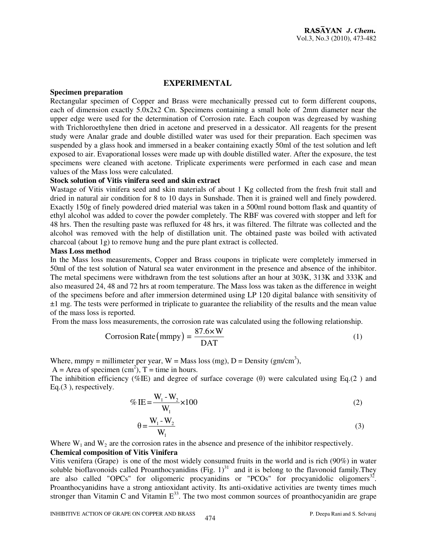# **EXPERIMENTAL**

### **Specimen preparation**

Rectangular specimen of Copper and Brass were mechanically pressed cut to form different coupons, each of dimension exactly 5.0x2x2 Cm. Specimens containing a small hole of 2mm diameter near the upper edge were used for the determination of Corrosion rate. Each coupon was degreased by washing with Trichloroethylene then dried in acetone and preserved in a dessicator. All reagents for the present study were Analar grade and double distilled water was used for their preparation. Each specimen was suspended by a glass hook and immersed in a beaker containing exactly 50ml of the test solution and left exposed to air. Evaporational losses were made up with double distilled water. After the exposure, the test specimens were cleaned with acetone. Triplicate experiments were performed in each case and mean values of the Mass loss were calculated.

#### **Stock solution of Vitis vinifera seed and skin extract**

Wastage of Vitis vinifera seed and skin materials of about 1 Kg collected from the fresh fruit stall and dried in natural air condition for 8 to 10 days in Sunshade. Then it is grained well and finely powdered. Exactly 150g of finely powdered dried material was taken in a 500ml round bottom flask and quantity of ethyl alcohol was added to cover the powder completely. The RBF was covered with stopper and left for 48 hrs. Then the resulting paste was refluxed for 48 hrs, it was filtered. The filtrate was collected and the alcohol was removed with the help of distillation unit. The obtained paste was boiled with activated charcoal (about 1g) to remove hung and the pure plant extract is collected.

#### **Mass Loss method**

In the Mass loss measurements, Copper and Brass coupons in triplicate were completely immersed in 50ml of the test solution of Natural sea water environment in the presence and absence of the inhibitor. The metal specimens were withdrawn from the test solutions after an hour at 303K, 313K and 333K and also measured 24, 48 and 72 hrs at room temperature. The Mass loss was taken as the difference in weight of the specimens before and after immersion determined using LP 120 digital balance with sensitivity of ±1 mg. The tests were performed in triplicate to guarantee the reliability of the results and the mean value of the mass loss is reported.

From the mass loss measurements, the corrosion rate was calculated using the following relationship.

Corrosion Rate (mmpy) = 
$$
\frac{87.6 \times W}{DATA}
$$
 (1)

Where, mmpy = millimeter per year,  $W =$  Mass loss (mg),  $D =$  Density (gm/cm<sup>3</sup>),

 $A =$  Area of specimen (cm<sup>2</sup>),  $T =$  time in hours.

The inhibition efficiency (%IE) and degree of surface coverage  $(\theta)$  were calculated using Eq.(2) and Eq.(3 ), respectively.

$$
\% \text{ IE} = \frac{W_1 - W_2}{W_1} \times 100 \tag{2}
$$

$$
\theta = \frac{W_1 - W_2}{W_1} \tag{3}
$$

Where  $W_1$  and  $W_2$  are the corrosion rates in the absence and presence of the inhibitor respectively.

# **Chemical composition of Vitis Vinifera**

Vitis venifera (Grape) is one of the most widely consumed fruits in the world and is rich (90%) in water soluble bioflavonoids called Proanthocyanidins (Fig.  $1$ )<sup>31</sup> and it is belong to the flavonoid family. They are also called "OPCs" for oligomeric procyanidins or "PCOs" for procyanidolic oligomers<sup>32</sup>. Proanthocyanidins have a strong antioxidant activity. Its anti-oxidative activities are twenty times much stronger than Vitamin C and Vitamin  $E^{33}$ . The two most common sources of proanthocyanidin are grape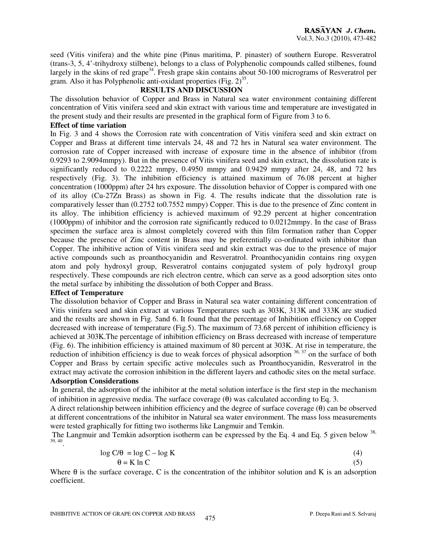seed (Vitis vinifera) and the white pine (Pinus maritima, P. pinaster) of southern Europe. Resveratrol (trans-3, 5, 4'-trihydroxy stilbene), belongs to a class of Polyphenolic compounds called stilbenes, found largely in the skins of red grape<sup>34</sup>. Fresh grape skin contains about 50-100 micrograms of Resveratrol per gram. Also it has Polyphenolic anti-oxidant properties (Fig.  $2^{35}$ .

# **RESULTS AND DISCUSSION**

The dissolution behavior of Copper and Brass in Natural sea water environment containing different concentration of Vitis vinifera seed and skin extract with various time and temperature are investigated in the present study and their results are presented in the graphical form of Figure from 3 to 6.

# **Effect of time variation**

In Fig. 3 and 4 shows the Corrosion rate with concentration of Vitis vinifera seed and skin extract on Copper and Brass at different time intervals 24, 48 and 72 hrs in Natural sea water environment. The corrosion rate of Copper increased with increase of exposure time in the absence of inhibitor (from 0.9293 to 2.9094mmpy). But in the presence of Vitis vinifera seed and skin extract, the dissolution rate is significantly reduced to 0.2222 mmpy, 0.4950 mmpy and 0.9429 mmpy after 24, 48, and 72 hrs respectively (Fig. 3). The inhibition efficiency is attained maximum of 76.08 percent at higher concentration (1000ppm) after 24 hrs exposure. The dissolution behavior of Copper is compared with one of its alloy (Cu-27Zn Brass) as shown in Fig. 4. The results indicate that the dissolution rate is comparatively lesser than (0.2752 to0.7552 mmpy) Copper. This is due to the presence of Zinc content in its alloy. The inhibition efficiency is achieved maximum of 92.29 percent at higher concentration (1000ppm) of inhibitor and the corrosion rate significantly reduced to 0.0212mmpy. In the case of Brass specimen the surface area is almost completely covered with thin film formation rather than Copper because the presence of Zinc content in Brass may be preferentially co-ordinated with inhibitor than Copper. The inhibitive action of Vitis vinifera seed and skin extract was due to the presence of major active compounds such as proanthocyanidin and Resveratrol. Proanthocyanidin contains ring oxygen atom and poly hydroxyl group, Resveratrol contains conjugated system of poly hydroxyl group respectively. These compounds are rich electron centre, which can serve as a good adsorption sites onto the metal surface by inhibiting the dissolution of both Copper and Brass.

#### **Effect of Temperature**

The dissolution behavior of Copper and Brass in Natural sea water containing different concentration of Vitis vinifera seed and skin extract at various Temperatures such as 303K, 313K and 333K are studied and the results are shown in Fig. 5and 6. It found that the percentage of Inhibition efficiency on Copper decreased with increase of temperature (Fig.5). The maximum of 73.68 percent of inhibition efficiency is achieved at 303K.The percentage of inhibition efficiency on Brass decreased with increase of temperature (Fig. 6). The inhibition efficiency is attained maximum of 80 percent at 303K. At rise in temperature, the reduction of inhibition efficiency is due to weak forces of physical adsorption  $36, 37$  on the surface of both Copper and Brass by certain specific active molecules such as Proanthocyanidin, Resveratrol in the extract may activate the corrosion inhibition in the different layers and cathodic sites on the metal surface.

### **Adsorption Considerations**

In general, the adsorption of the inhibitor at the metal solution interface is the first step in the mechanism of inhibition in aggressive media. The surface coverage  $(\theta)$  was calculated according to Eq. 3.

A direct relationship between inhibition efficiency and the degree of surface coverage (θ) can be observed at different concentrations of the inhibitor in Natural sea water environment. The mass loss measurements were tested graphically for fitting two isotherms like Langmuir and Temkin.

The Langmuir and Temkin adsorption isotherm can be expressed by the Eq. 4 and Eq. 5 given below  $^{38}$ . 39, 40 .

$$
\log C/\theta = \log C - \log K \tag{4}
$$
  
 
$$
\theta = K \ln C \tag{5}
$$

Where  $\theta$  is the surface coverage, C is the concentration of the inhibitor solution and K is an adsorption coefficient.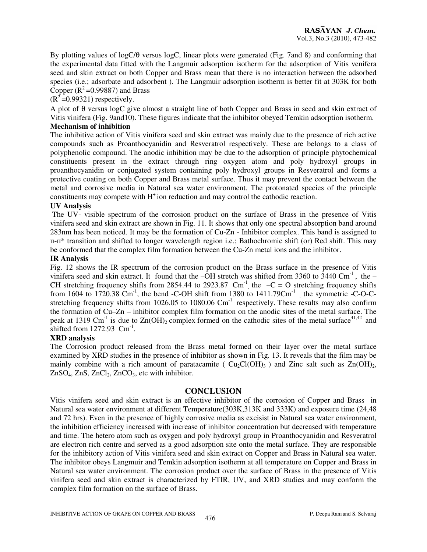By plotting values of logC/θ versus logC, linear plots were generated (Fig. 7and 8) and conforming that the experimental data fitted with the Langmuir adsorption isotherm for the adsorption of Vitis venifera seed and skin extract on both Copper and Brass mean that there is no interaction between the adsorbed species (i.e.; adsorbate and adsorbent). The Langmuir adsorption isotherm is better fit at 303K for both Copper  $(R^2=0.99887)$  and Brass

 $(R^2=0.99321)$  respectively.

A plot of θ versus logC give almost a straight line of both Copper and Brass in seed and skin extract of Vitis vinifera (Fig. 9and10). These figures indicate that the inhibitor obeyed Temkin adsorption isotherm. **Mechanism of inhibition** 

The inhibitive action of Vitis vinifera seed and skin extract was mainly due to the presence of rich active compounds such as Proanthocyanidin and Resveratrol respectively. These are belongs to a class of polyphenolic compound. The anodic inhibition may be due to the adsorption of principle phytochemical constituents present in the extract through ring oxygen atom and poly hydroxyl groups in proanthocyanidin or conjugated system containing poly hydroxyl groups in Resveratrol and forms a protective coating on both Copper and Brass metal surface. Thus it may prevent the contact between the metal and corrosive media in Natural sea water environment. The protonated species of the principle constituents may compete with  $H^+$  ion reduction and may control the cathodic reaction.

### **UV Analysis**

 The UV- visible spectrum of the corrosion product on the surface of Brass in the presence of Vitis vinifera seed and skin extract are shown in Fig. 11. It shows that only one spectral absorption band around 283nm has been noticed. It may be the formation of Cu-Zn - Inhibitor complex. This band is assigned to п-п\* transition and shifted to longer wavelength region i.e.; Bathochromic shift (or) Red shift. This may be conformed that the complex film formation between the Cu-Zn metal ions and the inhibitor.

### **IR Analysis**

Fig. 12 shows the IR spectrum of the corrosion product on the Brass surface in the presence of Vitis vinifera seed and skin extract. It found that the  $-\overline{OH}$  stretch was shifted from 3360 to 3440 Cm<sup>-1</sup>, the  $-$ CH stretching frequency shifts from 2854.44 to 2923.87 Cm<sup>-1</sup>, the  $-C = O$  stretching frequency shifts from 1604 to 1720.38  $\text{Cm}^{-1}$ , the bend -C-OH shift from 1380 to 1411.79 $\text{Cm}^{-1}$ , the symmetric -C-O-Cstretching frequency shifts from 1026.05 to 1080.06 Cm<sup>-1</sup> respectively. These results may also confirm the formation of Cu–Zn – inhibitor complex film formation on the anodic sites of the metal surface. The peak at 1319 Cm<sup>-1</sup> is due to  $Zn(OH)_2$  complex formed on the cathodic sites of the metal surface<sup>41,42</sup> and shifted from  $1272.93$  Cm<sup>-1</sup>.

### **XRD analysis**

The Corrosion product released from the Brass metal formed on their layer over the metal surface examined by XRD studies in the presence of inhibitor as shown in Fig. 13. It reveals that the film may be mainly combine with a rich amount of paratacamite ( $Cu_2Cl(OH)_3$ ) and Zinc salt such as  $Zn(OH)_2$ ,  $ZnSO<sub>4</sub>$ ,  $ZnS$ ,  $ZnCl<sub>2</sub>$ ,  $ZnCO<sub>3</sub>$ , etc with inhibitor.

# **CONCLUSION**

Vitis vinifera seed and skin extract is an effective inhibitor of the corrosion of Copper and Brass in Natural sea water environment at different Temperature(303K,313K and 333K) and exposure time (24,48 and 72 hrs). Even in the presence of highly corrosive media as excisist in Natural sea water environment, the inhibition efficiency increased with increase of inhibitor concentration but decreased with temperature and time. The hetero atom such as oxygen and poly hydroxyl group in Proanthocyanidin and Resveratrol are electron rich centre and served as a good adsorption site onto the metal surface. They are responsible for the inhibitory action of Vitis vinifera seed and skin extract on Copper and Brass in Natural sea water. The inhibitor obeys Langmuir and Temkin adsorption isotherm at all temperature on Copper and Brass in Natural sea water environment. The corrosion product over the surface of Brass in the presence of Vitis vinifera seed and skin extract is characterized by FTIR, UV, and XRD studies and may conform the complex film formation on the surface of Brass.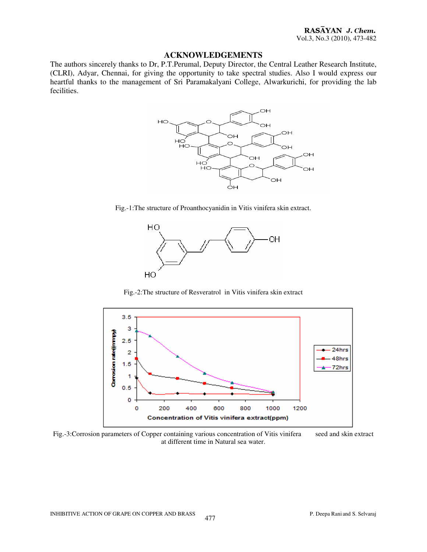#### **ACKNOWLEDGEMENTS**

The authors sincerely thanks to Dr, P.T.Perumal, Deputy Director, the Central Leather Research Institute, (CLRI), Adyar, Chennai, for giving the opportunity to take spectral studies. Also I would express our heartful thanks to the management of Sri Paramakalyani College, Alwarkurichi, for providing the lab fecilities.



Fig.-1:The structure of Proanthocyanidin in Vitis vinifera skin extract.



Fig.-2:The structure of Resveratrol in Vitis vinifera skin extract



Fig.-3:Corrosion parameters of Copper containing various concentration of Vitis vinifera seed and skin extract at different time in Natural sea water.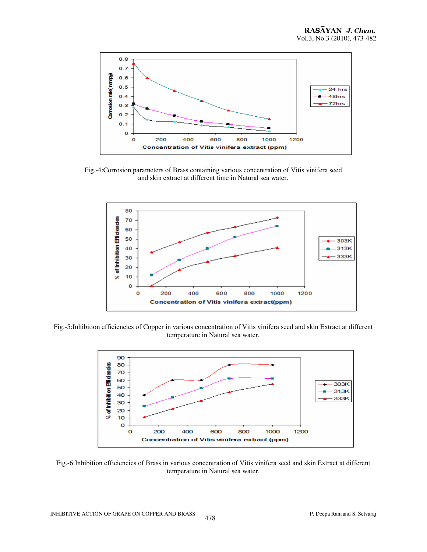

Fig.-4:Corrosion parameters of Brass containing various concentration of Vitis vinifera seed and skin extract at different time in Natural sea water.



Fig.-5:Inhibition efficiencies of Copper in various concentration of Vitis vinifera seed and skin Extract at different temperature in Natural sea water.



Fig.-6:Inhibition efficiencies of Brass in various concentration of Vitis vinifera seed and skin Extract at different temperature in Natural sea water.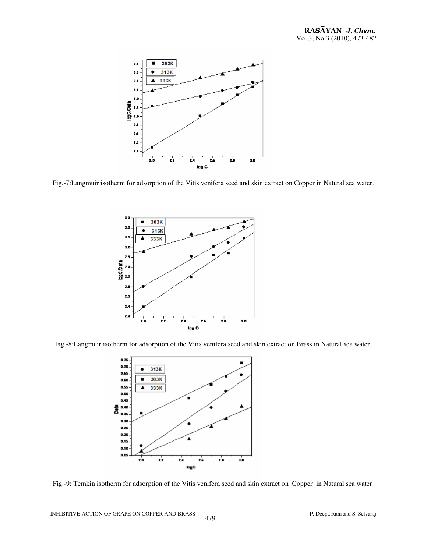

Fig.-7:Langmuir isotherm for adsorption of the Vitis venifera seed and skin extract on Copper in Natural sea water.



Fig.-8:Langmuir isotherm for adsorption of the Vitis venifera seed and skin extract on Brass in Natural sea water.



Fig.-9: Temkin isotherm for adsorption of the Vitis venifera seed and skin extract on Copper in Natural sea water.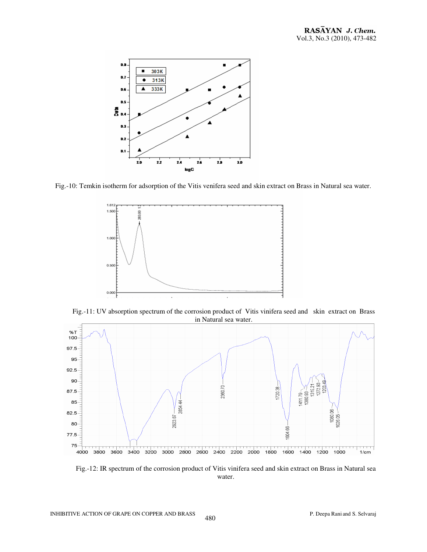

Fig.-10: Temkin isotherm for adsorption of the Vitis venifera seed and skin extract on Brass in Natural sea water.



Fig.-11: UV absorption spectrum of the corrosion product of Vitis vinifera seed and skin extract on Brass in Natural sea water.



Fig.-12: IR spectrum of the corrosion product of Vitis vinifera seed and skin extract on Brass in Natural sea water.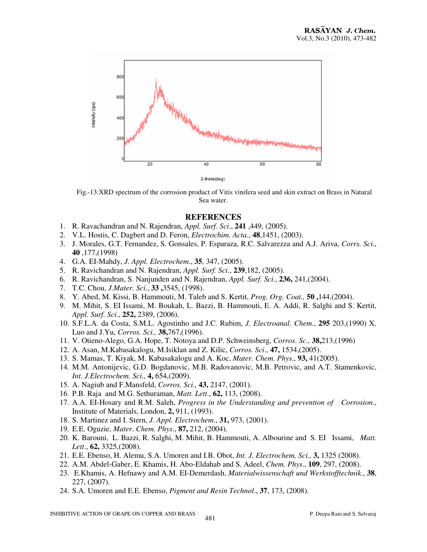

 Fig.-13:XRD spectrum of the corrosion product of Vitis vinifera seed and skin extract on Brass in Natural Sea water.

# **REFERENCES**

- 1. R. Ravachandran and N. Rajendran, *Appl. Surf. Sci*., **241** ,449, (2005).
- 2. V.L. Hostis, C. Dagbert and D. Feron, *Electrochim. Acta.*, **48**,1451, (2003).
- 3. J. Morales, G.T. Fernandez, S. Gonsales, P. Esparaza, R.C. Salvarezza and A.J. Ariva, *Corrs. Sci*., **40** ,177,(1998)
- 4. G.A. EI-Mahdy, *J. Appl. Electrochem*., **35**, 347, (2005).
- 5. R. Ravichandran and N. Rajendran, *Appl. Surf. Sci*., **239**,182, (2005).
- 6. R. Ravichandran, S. Nanjunden and N. Rajendran, *Appl. Surf. Sci*., **236,** 241,(2004).
- 7. T.C. Chou, *J.Mater. Sci*., **33 ,**3545, (1998).
- 8. Y. Abed, M. Kissi, B. Hammouti, M. Taleb and S. Kertit, *Prog. Org. Coat.,* **50 ,**144,(2004).
- 9. M. Mihit, S. EI Issami, M. Boukah, L. Bazzi, B. Hammouti, E. A. Addi, R. Salghi and S. Kertit, *Appl. Surf. Sci*., **252,** 2389, (2006).
- 10. S.F.L.A. da Costa, S.M.L. Agostinho and J.C. Rubim, *J. Electroanal*. *Chem.*, **295** 203,(1990) X. Luo and J.Yu, *Corros. Sci.,* **38,**767,(1996).
- 11. V. Otieno-Alego, G.A. Hope, T. Notoya and D.P. Schweinsberg, *Corros*. *Sc.,* **38,**213,(1996)
- 12. A. Asan, M.Kabasakalogu, M.Isiklan and Z. Kilic, *Corros. Sci*., **47,** 1534,(2005).
- 13. S. Mamas, T. Kiyak, M. Kabasakalogu and A. Koc, *Mater. Chem. Phys*., **93,** 41(2005).
- 14. M.M. Antonijevic, G.D. Bogdanovic, M.B. Radovanovic, M.B. Petrovic, and A.T. Stamenkovic, *Int. J.Electrochem. Sci.,* **4,** 654,(2009).
- 15. A. Nagiub and F.Mansfeld, *Corros. Sci.,* **43,** 2147, (2001).
- 16. P.B. Raja and M.G. Sethuraman, *Matt. Lett*., **62,** 113, (2008).
- 17. A.A. EI-Hosary and R.M. Saleh, *Progress in the Understanding and prevention of Corrosion.*, Institute of Materials, London, **2,** 911, (1993).
- 18. S. Martinez and I. Stern, *J*. *Appl. Electrochem*., **31,** 973, (2001).
- 19. E.E. Oguzie, *Mater*. *Chem. Phys*., **87,** 212, (2004).
- 20. K. Barouni, L. Bazzi, R. Salghi, M. Mihit, B. Hammouti, A. Albourine and S. EI Issami, *Matt. Lett*., **62,** 3325,(2008).
- 21. E.E. Ebenso, H. Alemu, S.A. Umoren and I.B. Obot, *Int. J. Electrochem, Sci.,* **3,** 1325 (2008).
- 22. A.M. Abdel-Gaber, E. Khamis, H. Abo-Eldahab and S. Adeel, *Chem. Phys*., **109**, 297, (2008).
- 23. E.Khamis, A. Hefnawy and A.M. EI-Demerdash, *Materialwissenschaft und Werkstofftechnik.*, **38**, 227, (2007).
- 24. S.A. Umoren and E.E. Ebenso, *Pigment and Resin Technol*., **37**, 173, (2008).